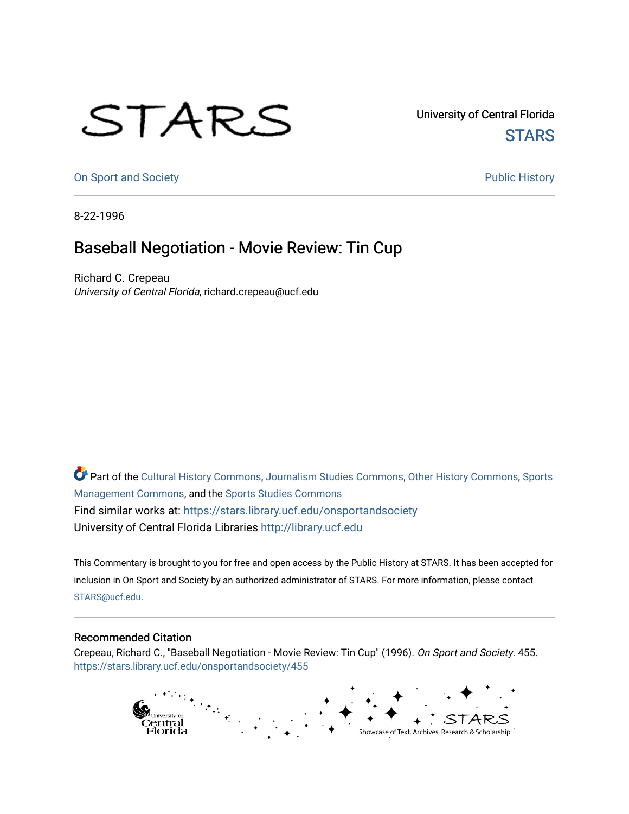## STARS

University of Central Florida **STARS** 

[On Sport and Society](https://stars.library.ucf.edu/onsportandsociety) **Public History** Public History

8-22-1996

## Baseball Negotiation - Movie Review: Tin Cup

Richard C. Crepeau University of Central Florida, richard.crepeau@ucf.edu

Part of the [Cultural History Commons](http://network.bepress.com/hgg/discipline/496?utm_source=stars.library.ucf.edu%2Fonsportandsociety%2F455&utm_medium=PDF&utm_campaign=PDFCoverPages), [Journalism Studies Commons,](http://network.bepress.com/hgg/discipline/333?utm_source=stars.library.ucf.edu%2Fonsportandsociety%2F455&utm_medium=PDF&utm_campaign=PDFCoverPages) [Other History Commons,](http://network.bepress.com/hgg/discipline/508?utm_source=stars.library.ucf.edu%2Fonsportandsociety%2F455&utm_medium=PDF&utm_campaign=PDFCoverPages) [Sports](http://network.bepress.com/hgg/discipline/1193?utm_source=stars.library.ucf.edu%2Fonsportandsociety%2F455&utm_medium=PDF&utm_campaign=PDFCoverPages) [Management Commons](http://network.bepress.com/hgg/discipline/1193?utm_source=stars.library.ucf.edu%2Fonsportandsociety%2F455&utm_medium=PDF&utm_campaign=PDFCoverPages), and the [Sports Studies Commons](http://network.bepress.com/hgg/discipline/1198?utm_source=stars.library.ucf.edu%2Fonsportandsociety%2F455&utm_medium=PDF&utm_campaign=PDFCoverPages) Find similar works at: <https://stars.library.ucf.edu/onsportandsociety> University of Central Florida Libraries [http://library.ucf.edu](http://library.ucf.edu/) 

This Commentary is brought to you for free and open access by the Public History at STARS. It has been accepted for inclusion in On Sport and Society by an authorized administrator of STARS. For more information, please contact [STARS@ucf.edu](mailto:STARS@ucf.edu).

## Recommended Citation

Crepeau, Richard C., "Baseball Negotiation - Movie Review: Tin Cup" (1996). On Sport and Society. 455. [https://stars.library.ucf.edu/onsportandsociety/455](https://stars.library.ucf.edu/onsportandsociety/455?utm_source=stars.library.ucf.edu%2Fonsportandsociety%2F455&utm_medium=PDF&utm_campaign=PDFCoverPages)

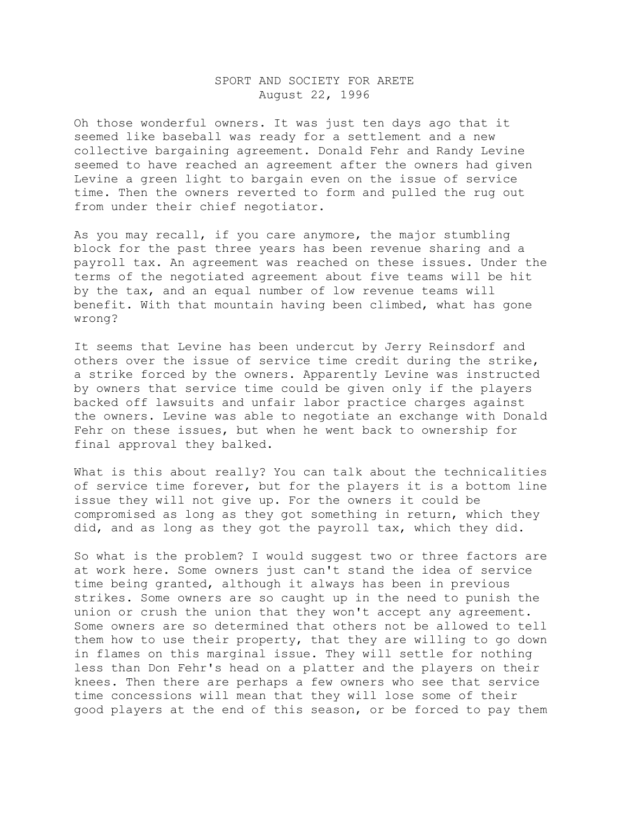## SPORT AND SOCIETY FOR ARETE August 22, 1996

Oh those wonderful owners. It was just ten days ago that it seemed like baseball was ready for a settlement and a new collective bargaining agreement. Donald Fehr and Randy Levine seemed to have reached an agreement after the owners had given Levine a green light to bargain even on the issue of service time. Then the owners reverted to form and pulled the rug out from under their chief negotiator.

As you may recall, if you care anymore, the major stumbling block for the past three years has been revenue sharing and a payroll tax. An agreement was reached on these issues. Under the terms of the negotiated agreement about five teams will be hit by the tax, and an equal number of low revenue teams will benefit. With that mountain having been climbed, what has gone wrong?

It seems that Levine has been undercut by Jerry Reinsdorf and others over the issue of service time credit during the strike, a strike forced by the owners. Apparently Levine was instructed by owners that service time could be given only if the players backed off lawsuits and unfair labor practice charges against the owners. Levine was able to negotiate an exchange with Donald Fehr on these issues, but when he went back to ownership for final approval they balked.

What is this about really? You can talk about the technicalities of service time forever, but for the players it is a bottom line issue they will not give up. For the owners it could be compromised as long as they got something in return, which they did, and as long as they got the payroll tax, which they did.

So what is the problem? I would suggest two or three factors are at work here. Some owners just can't stand the idea of service time being granted, although it always has been in previous strikes. Some owners are so caught up in the need to punish the union or crush the union that they won't accept any agreement. Some owners are so determined that others not be allowed to tell them how to use their property, that they are willing to go down in flames on this marginal issue. They will settle for nothing less than Don Fehr's head on a platter and the players on their knees. Then there are perhaps a few owners who see that service time concessions will mean that they will lose some of their good players at the end of this season, or be forced to pay them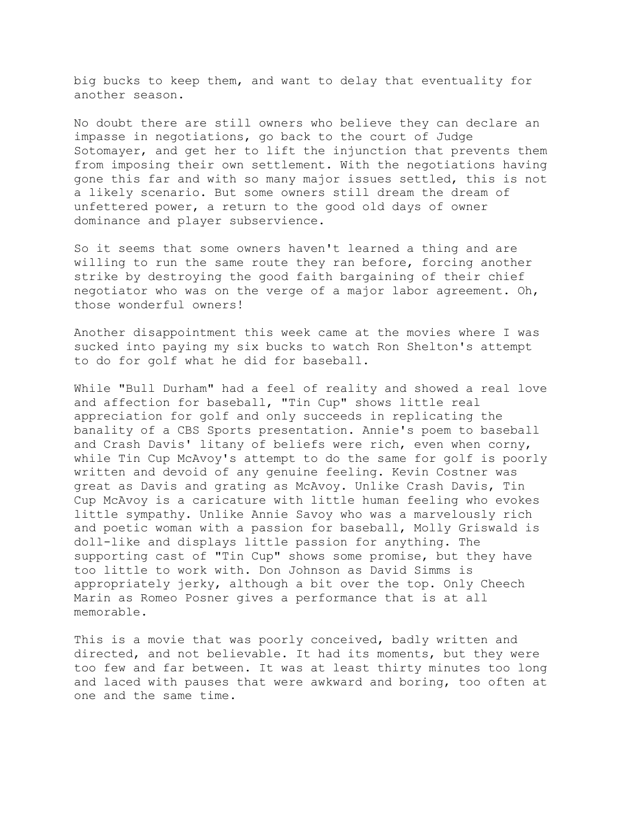big bucks to keep them, and want to delay that eventuality for another season.

No doubt there are still owners who believe they can declare an impasse in negotiations, go back to the court of Judge Sotomayer, and get her to lift the injunction that prevents them from imposing their own settlement. With the negotiations having gone this far and with so many major issues settled, this is not a likely scenario. But some owners still dream the dream of unfettered power, a return to the good old days of owner dominance and player subservience.

So it seems that some owners haven't learned a thing and are willing to run the same route they ran before, forcing another strike by destroying the good faith bargaining of their chief negotiator who was on the verge of a major labor agreement. Oh, those wonderful owners!

Another disappointment this week came at the movies where I was sucked into paying my six bucks to watch Ron Shelton's attempt to do for golf what he did for baseball.

While "Bull Durham" had a feel of reality and showed a real love and affection for baseball, "Tin Cup" shows little real appreciation for golf and only succeeds in replicating the banality of a CBS Sports presentation. Annie's poem to baseball and Crash Davis' litany of beliefs were rich, even when corny, while Tin Cup McAvoy's attempt to do the same for golf is poorly written and devoid of any genuine feeling. Kevin Costner was great as Davis and grating as McAvoy. Unlike Crash Davis, Tin Cup McAvoy is a caricature with little human feeling who evokes little sympathy. Unlike Annie Savoy who was a marvelously rich and poetic woman with a passion for baseball, Molly Griswald is doll-like and displays little passion for anything. The supporting cast of "Tin Cup" shows some promise, but they have too little to work with. Don Johnson as David Simms is appropriately jerky, although a bit over the top. Only Cheech Marin as Romeo Posner gives a performance that is at all memorable.

This is a movie that was poorly conceived, badly written and directed, and not believable. It had its moments, but they were too few and far between. It was at least thirty minutes too long and laced with pauses that were awkward and boring, too often at one and the same time.